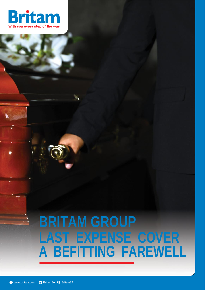

# **BRITAM GROUP LAST EXPENSE COVER A BEFITTING FAREWELL**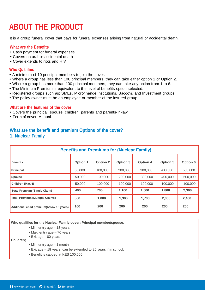# **ABOUT THE PRODUCT**

It is a group funeral cover that pays for funeral expenses arising from natural or accidental death.

## **What are the Benefits**

- Cash payment for funeral expenses
- Covers natural or accidental death
- Cover extends to riots and HIV

# **Who Qualifies**

- A minimum of 10 principal members to join the cover.
- Where a group has less than 100 principal members, they can take either option 1 or Option 2.
- Where a group has more than 100 principal members, they can take any option from 1 to 6.
- The Minimum Premium is equivalent to the level of benefits option selected.
- Registered groups such as; SMEs, Microfinance Institutions, Sacco's, and Investment groups.
- The policy owner must be an employee or member of the insured group.

#### **What are the features of the cover**

- Covers the principal, spouse, children, parents and parents-in-law.
- Term of cover: Annual.

# **What are the benefit and premium Options of the cover?**

# **1. Nuclear Family**

| <b>Benefits and Premiums for (Nuclear Family)</b> |          |          |          |          |          |          |  |
|---------------------------------------------------|----------|----------|----------|----------|----------|----------|--|
| <b>Benefits</b>                                   | Option 1 | Option 2 | Option 3 | Option 4 | Option 5 | Option 6 |  |
| Principal                                         | 50.000   | 100.000  | 200,000  | 300.000  | 400.000  | 500.000  |  |
| Spouse                                            | 50,000   | 100.000  | 200.000  | 300,000  | 400.000  | 500.000  |  |
| Children (Max 4)                                  | 50,000   | 100,000  | 100,000  | 100,000  | 100.000  | 100,000  |  |
| <b>Total Premium (Single Claim)</b>               | 400      | 700      | 1.100    | 1.500    | 1.800    | 2.300    |  |
| <b>Total Premium (Multiple Claims)</b>            | 500      | 1.000    | 1,300    | 1.700    | 2,000    | 2,400    |  |
| Additional child premium(below 18 years)          | 100      | 200      | 200      | 200      | 200      | 200      |  |

**Who qualifies for the Nuclear Family cover: Principal member/spouse**;

- Min. entry age 18 years
- Max. entry age 70 years • Exit age – 80 years

**Children;**

- Min. entry age 1 month
- Exit age 18 years, can be extended to 25 years if in school.
- Benefit is capped at KES 100,000.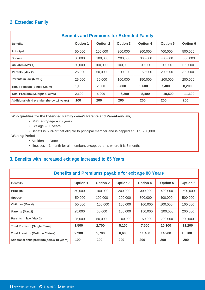# **2. Extended Family**

| <b>Benefits and Premiums for Extended Family</b> |          |          |          |          |          |          |  |
|--------------------------------------------------|----------|----------|----------|----------|----------|----------|--|
| <b>Benefits</b>                                  | Option 1 | Option 2 | Option 3 | Option 4 | Option 5 | Option 6 |  |
| Principal                                        | 50,000   | 100,000  | 200,000  | 300,000  | 400,000  | 500,000  |  |
| Spouse                                           | 50.000   | 100.000  | 200,000  | 300,000  | 400.000  | 500,000  |  |
| Children (Max 4)                                 | 50.000   | 100.000  | 100.000  | 100.000  | 100,000  | 100.000  |  |
| Parents (Max 2)                                  | 25,000   | 50.000   | 100.000  | 150.000  | 200.000  | 200.000  |  |
| Parents in law (Max 2)                           | 25,000   | 50,000   | 100,000  | 150,000  | 200,000  | 200.000  |  |
| <b>Total Premium (Single Claim)</b>              | 1,100    | 2.000    | 3.800    | 5.600    | 7.400    | 8.200    |  |
| <b>Total Premium (Multiple Claims)</b>           | 2.100    | 4,200    | 6.300    | 8.400    | 10.500   | 11.600   |  |
| Additional child premium(below 18 years)         | 100      | 200      | 200      | 200      | 200      | 200      |  |

## **Who qualifies for the Extended Family cover? Parents and Parents-in-law;**

- Max. entry age 75 years
- Exit age 80 years
- Benefit is 50% of that eligible to principal member and is capped at KES 200,000.

# **Waiting Period**

- Accidents None
- Illnesses 1 month for all members except parents where it is 3 months.

# **3. Benefits with Increased exit age Increased to 85 Years**

| Benefits and Premiums payable for exit age 80 Years |          |          |          |          |          |          |
|-----------------------------------------------------|----------|----------|----------|----------|----------|----------|
| <b>Benefits</b>                                     | Option 1 | Option 2 | Option 3 | Option 4 | Option 5 | Option 6 |
| Principal                                           | 50,000   | 100,000  | 200,000  | 300,000  | 400.000  | 500.000  |
| Spouse                                              | 50.000   | 100.000  | 200,000  | 300,000  | 400.000  | 500,000  |
| Children (Max 4)                                    | 50,000   | 100,000  | 100,000  | 100,000  | 100,000  | 100,000  |
| Parents (Max 2)                                     | 25,000   | 50,000   | 100,000  | 150,000  | 200,000  | 200,000  |
| Parents in law (Max 2)                              | 25.000   | 50.000   | 100,000  | 150.000  | 200.000  | 200.000  |
| <b>Total Premium (Single Claim)</b>                 | 1,500    | 2.700    | 5.100    | 7,500    | 10,100   | 11,200   |
| <b>Total Premium (Multiple Claims)</b>              | 2,900    | 5,700    | 8,600    | 11,400   | 14,200   | 15,700   |
| Additional child premium(below 18 years)            | 100      | 200      | 200      | 200      | 200      | 200      |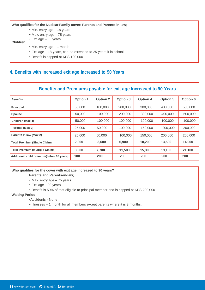## **Who qualifies for the Nuclear Family cover: Parents and Parents-in-law**;

- Min. entry age 18 years
- Max. entry age 75 years
- Exit age 85 years

#### **Children;**

- Min. entry age 1 month
- Exit age 18 years, can be extended to 25 years if in school.
- Benefit is capped at KES 100,000.

# **4. Benefits with Increased exit age Increased to 90 Years**

| Benefits and Premiums payable for exit age Increased to 90 Years |          |          |          |          |          |          |  |
|------------------------------------------------------------------|----------|----------|----------|----------|----------|----------|--|
| <b>Benefits</b>                                                  | Option 1 | Option 2 | Option 3 | Option 4 | Option 5 | Option 6 |  |
| Principal                                                        | 50,000   | 100,000  | 200,000  | 300,000  | 400,000  | 500,000  |  |
| Spouse                                                           | 50.000   | 100,000  | 200,000  | 300,000  | 400.000  | 500,000  |  |
| Children (Max 4)                                                 | 50,000   | 100,000  | 100,000  | 100,000  | 100,000  | 100,000  |  |
| Parents (Max 2)                                                  | 25,000   | 50,000   | 100,000  | 150,000  | 200,000  | 200,000  |  |
| Parents in law (Max 2)                                           | 25,000   | 50.000   | 100,000  | 150,000  | 200.000  | 200.000  |  |
| Total Premium (Single Claim)                                     | 2,000    | 3,600    | 6.900    | 10,200   | 13,500   | 14.900   |  |
| <b>Total Premium (Multiple Claims)</b>                           | 3.900    | 7,700    | 11,500   | 15,300   | 19,100   | 21,100   |  |
| Additional child premium(below 18 years)                         | 100      | 200      | 200      | 200      | 200      | 200      |  |

# **Who qualifies for the cover with exit age increased to 90 years?**

# **Parents and Parents-in-law;**

- Max. entry age 75 years
- Exit age 90 years
- Benefit is 50% of that eligible to principal member and is capped at KES 200,000.

#### **Waiting Period**

- •Accidents None
- Illnesses 1 month for all members except parents where it is 3 months..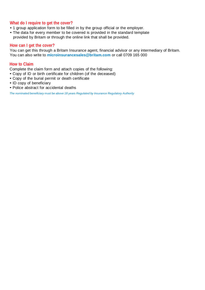# **What do I require to get the cover?**

- 1 group application form to be filled in by the group official or the employer.
- The data for every member to be covered is provided in the standard template provided by Britam or through the online link that shall be provided.

# **How can I get the cover?**

You can get this through a Britam Insurance agent, financial advisor or any intermediary of Britam. You can also write to **[microinsurancesales@britam.com](mailto:microinsurancesales@britam.com)** or call 0709 165 000

# **How to Claim**

Complete the claim form and attach copies of the following:

- Copy of ID or birth certificate for children (of the deceased)
- Copy of the burial permit or death certificate
- ID copy of beneficiary
- Police abstract for accidental deaths

*The nominated beneficiary must be above 18 years Regulated by Insurance Regulatory Authority*